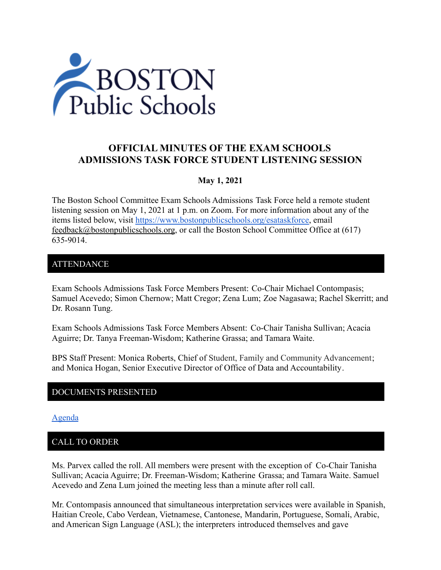

# **OFFICIAL MINUTES OF THE EXAM SCHOOLS ADMISSIONS TASK FORCE STUDENT LISTENING SESSION**

### **May 1, 2021**

The Boston School Committee Exam Schools Admissions Task Force held a remote student listening session on May 1, 2021 at 1 p.m. on Zoom. For more information about any of the items listed below, visit <https://www.bostonpublicschools.org/esataskforce>, email [feedback@bostonpublicschools.org](mailto:feedback@bostonpublicschools.org), or call the Boston School Committee Office at (617) 635-9014.

### ATTENDANCE

Exam Schools Admissions Task Force Members Present: Co-Chair Michael Contompasis; Samuel Acevedo; Simon Chernow; Matt Cregor; Zena Lum; Zoe Nagasawa; Rachel Skerritt; and Dr. Rosann Tung.

Exam Schools Admissions Task Force Members Absent: Co-Chair Tanisha Sullivan; Acacia Aguirre; Dr. Tanya Freeman-Wisdom; Katherine Grassa; and Tamara Waite.

BPS Staff Present: Monica Roberts, Chief of Student, Family and Community Advancement; and Monica Hogan, Senior Executive Director of Office of Data and Accountability.

### DOCUMENTS PRESENTED

[Agenda](https://www.boston.gov/public-notices/15000906)

# CALL TO ORDER

Ms. Parvex called the roll. All members were present with the exception of Co-Chair Tanisha Sullivan; Acacia Aguirre; Dr. Freeman-Wisdom; Katherine Grassa; and Tamara Waite. Samuel Acevedo and Zena Lum joined the meeting less than a minute after roll call.

Mr. Contompasis announced that simultaneous interpretation services were available in Spanish, Haitian Creole, Cabo Verdean, Vietnamese, Cantonese, Mandarin, Portuguese, Somali, Arabic, and American Sign Language (ASL); the interpreters introduced themselves and gave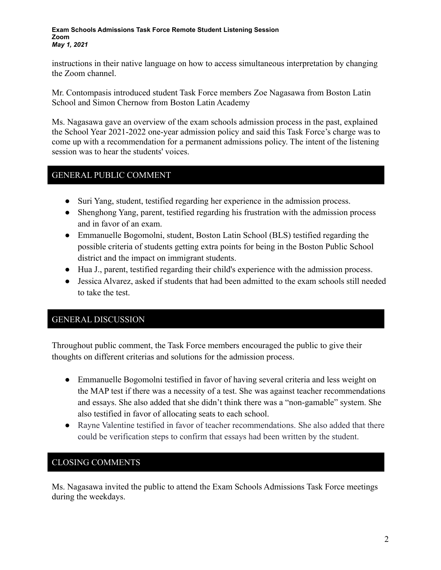#### **Exam Schools Admissions Task Force Remote Student Listening Session Zoom** *May 1, 2021*

instructions in their native language on how to access simultaneous interpretation by changing the Zoom channel.

Mr. Contompasis introduced student Task Force members Zoe Nagasawa from Boston Latin School and Simon Chernow from Boston Latin Academy

Ms. Nagasawa gave an overview of the exam schools admission process in the past, explained the School Year 2021-2022 one-year admission policy and said this Task Force's charge was to come up with a recommendation for a permanent admissions policy. The intent of the listening session was to hear the students' voices.

### GENERAL PUBLIC COMMENT

- Suri Yang, student, testified regarding her experience in the admission process.
- Shenghong Yang, parent, testified regarding his frustration with the admission process and in favor of an exam.
- Emmanuelle Bogomolni, student, Boston Latin School (BLS) testified regarding the possible criteria of students getting extra points for being in the Boston Public School district and the impact on immigrant students.
- Hua J., parent, testified regarding their child's experience with the admission process.
- Jessica Alvarez, asked if students that had been admitted to the exam schools still needed to take the test.

# GENERAL DISCUSSION

Throughout public comment, the Task Force members encouraged the public to give their thoughts on different criterias and solutions for the admission process.

- Emmanuelle Bogomolni testified in favor of having several criteria and less weight on the MAP test if there was a necessity of a test. She was against teacher recommendations and essays. She also added that she didn't think there was a "non-gamable" system. She also testified in favor of allocating seats to each school.
- Rayne Valentine testified in favor of teacher recommendations. She also added that there could be verification steps to confirm that essays had been written by the student.

# CLOSING COMMENTS

Ms. Nagasawa invited the public to attend the Exam Schools Admissions Task Force meetings during the weekdays.